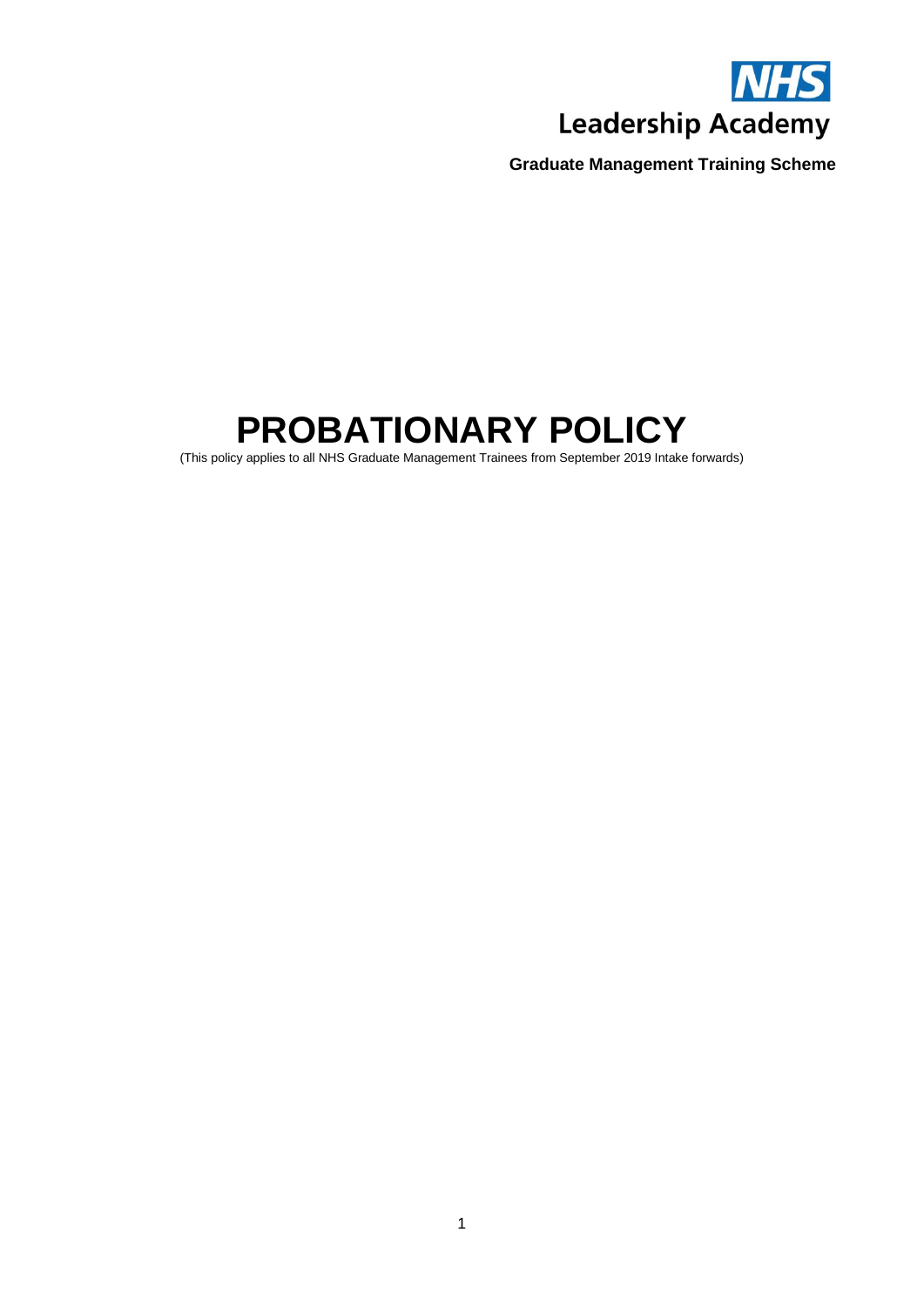

# **PROBATIONARY POLICY**

(This policy applies to all NHS Graduate Management Trainees from September 2019 Intake forwards)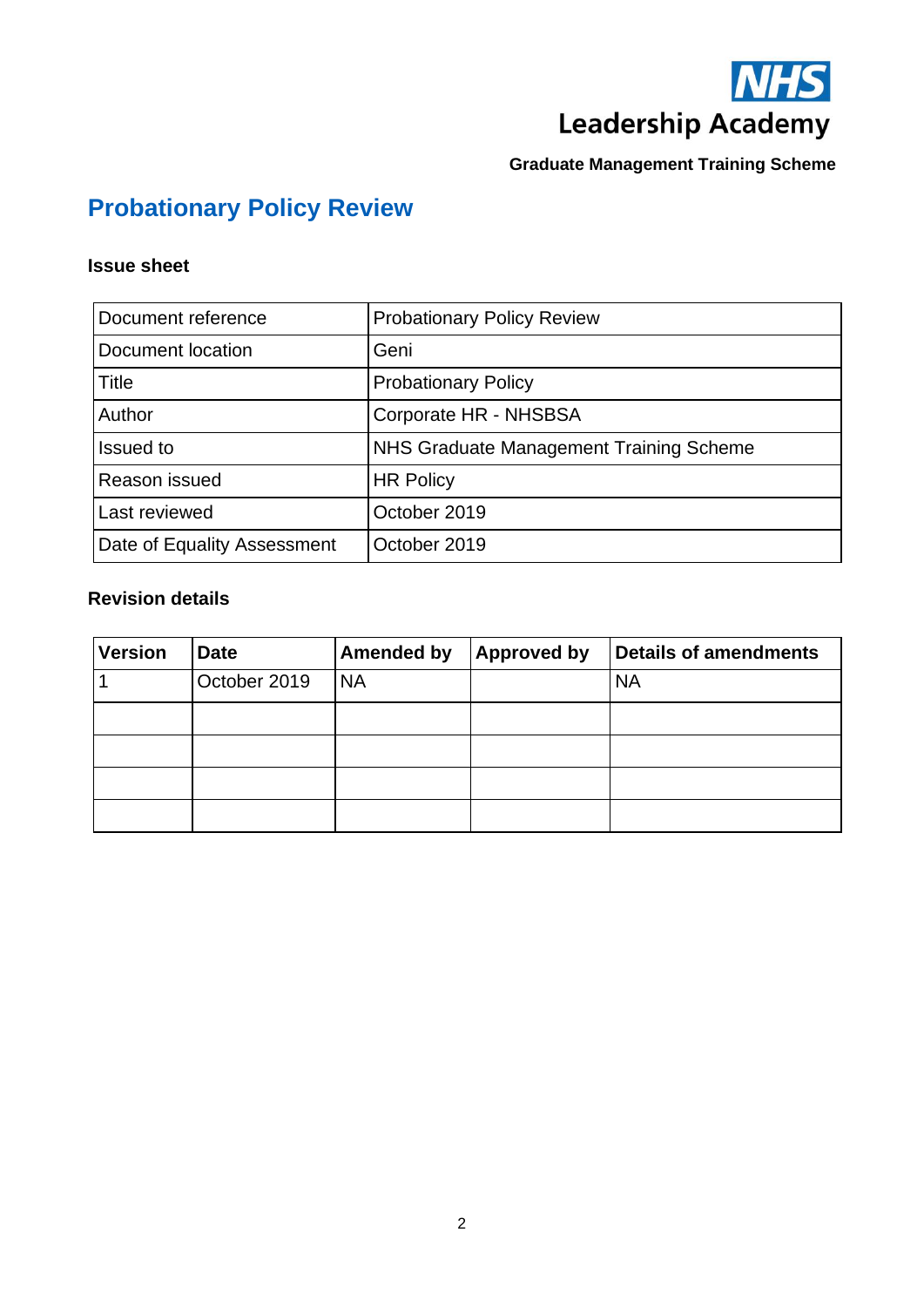

# **Probationary Policy Review**

# **Issue sheet**

| Document reference          | <b>Probationary Policy Review</b>       |  |  |
|-----------------------------|-----------------------------------------|--|--|
| Document location           | Geni                                    |  |  |
| Title                       | <b>Probationary Policy</b>              |  |  |
| Author                      | Corporate HR - NHSBSA                   |  |  |
| <b>Issued to</b>            | NHS Graduate Management Training Scheme |  |  |
| Reason issued               | <b>HR Policy</b>                        |  |  |
| Last reviewed               | October 2019                            |  |  |
| Date of Equality Assessment | October 2019                            |  |  |

# **Revision details**

| <b>Version</b> | <b>Date</b>  | <b>Amended by</b> | <b>Approved by</b> | <b>Details of amendments</b> |
|----------------|--------------|-------------------|--------------------|------------------------------|
|                | October 2019 | <b>NA</b>         |                    | <b>NA</b>                    |
|                |              |                   |                    |                              |
|                |              |                   |                    |                              |
|                |              |                   |                    |                              |
|                |              |                   |                    |                              |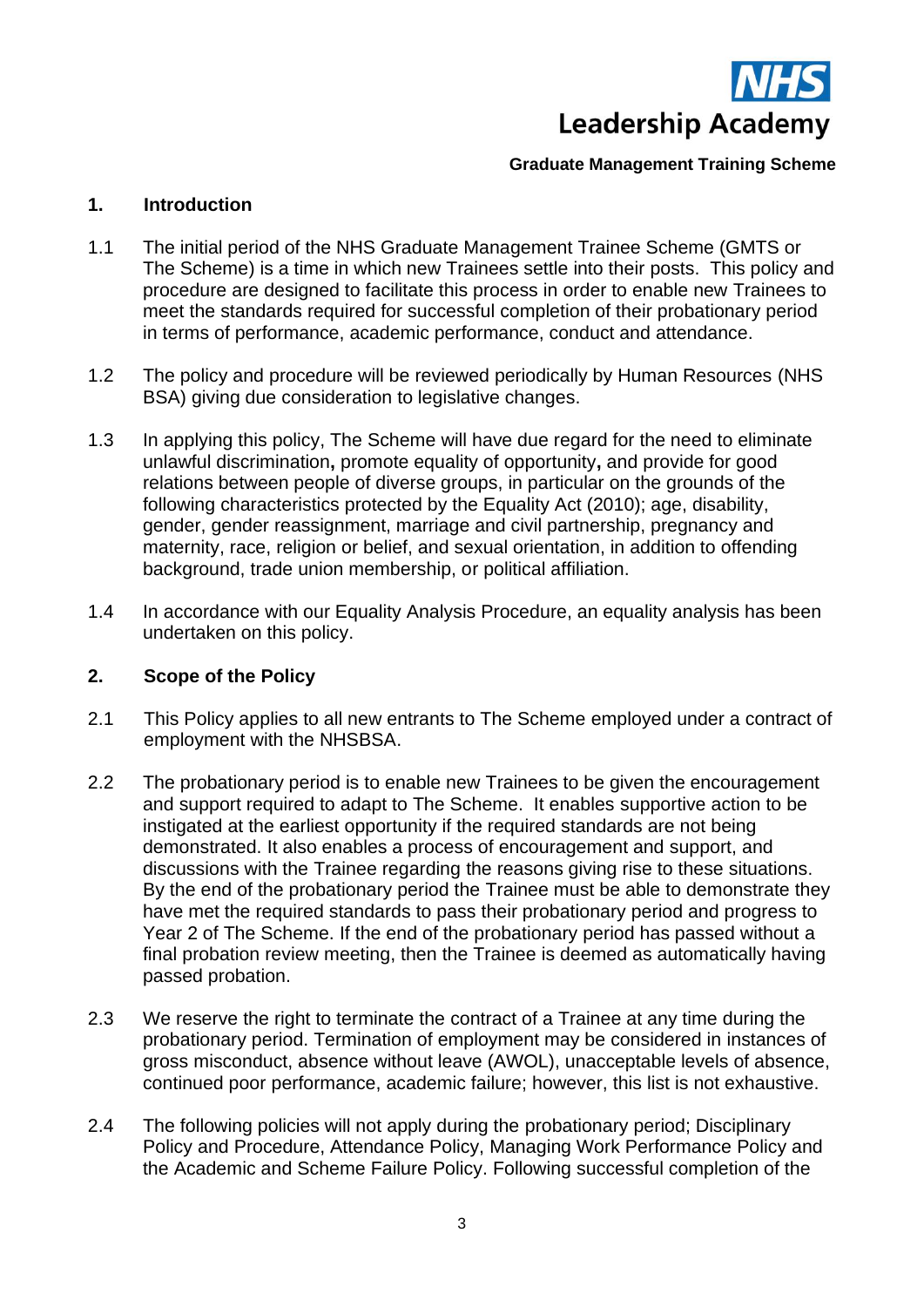

# **1. Introduction**

- 1.1 The initial period of the NHS Graduate Management Trainee Scheme (GMTS or The Scheme) is a time in which new Trainees settle into their posts. This policy and procedure are designed to facilitate this process in order to enable new Trainees to meet the standards required for successful completion of their probationary period in terms of performance, academic performance, conduct and attendance.
- 1.2 The policy and procedure will be reviewed periodically by Human Resources (NHS BSA) giving due consideration to legislative changes.
- 1.3 In applying this policy, The Scheme will have due regard for the need to eliminate unlawful discrimination**,** promote equality of opportunity**,** and provide for good relations between people of diverse groups, in particular on the grounds of the following characteristics protected by the Equality Act (2010); age, disability, gender, gender reassignment, marriage and civil partnership, pregnancy and maternity, race, religion or belief, and sexual orientation, in addition to offending background, trade union membership, or political affiliation.
- 1.4 In accordance with our Equality Analysis Procedure, an equality analysis has been undertaken on this policy.

# **2. Scope of the Policy**

- 2.1 This Policy applies to all new entrants to The Scheme employed under a contract of employment with the NHSBSA.
- 2.2 The probationary period is to enable new Trainees to be given the encouragement and support required to adapt to The Scheme. It enables supportive action to be instigated at the earliest opportunity if the required standards are not being demonstrated. It also enables a process of encouragement and support, and discussions with the Trainee regarding the reasons giving rise to these situations. By the end of the probationary period the Trainee must be able to demonstrate they have met the required standards to pass their probationary period and progress to Year 2 of The Scheme. If the end of the probationary period has passed without a final probation review meeting, then the Trainee is deemed as automatically having passed probation.
- 2.3 We reserve the right to terminate the contract of a Trainee at any time during the probationary period. Termination of employment may be considered in instances of gross misconduct, absence without leave (AWOL), unacceptable levels of absence, continued poor performance, academic failure; however, this list is not exhaustive.
- 2.4 The following policies will not apply during the probationary period; Disciplinary Policy and Procedure, Attendance Policy, Managing Work Performance Policy and the Academic and Scheme Failure Policy. Following successful completion of the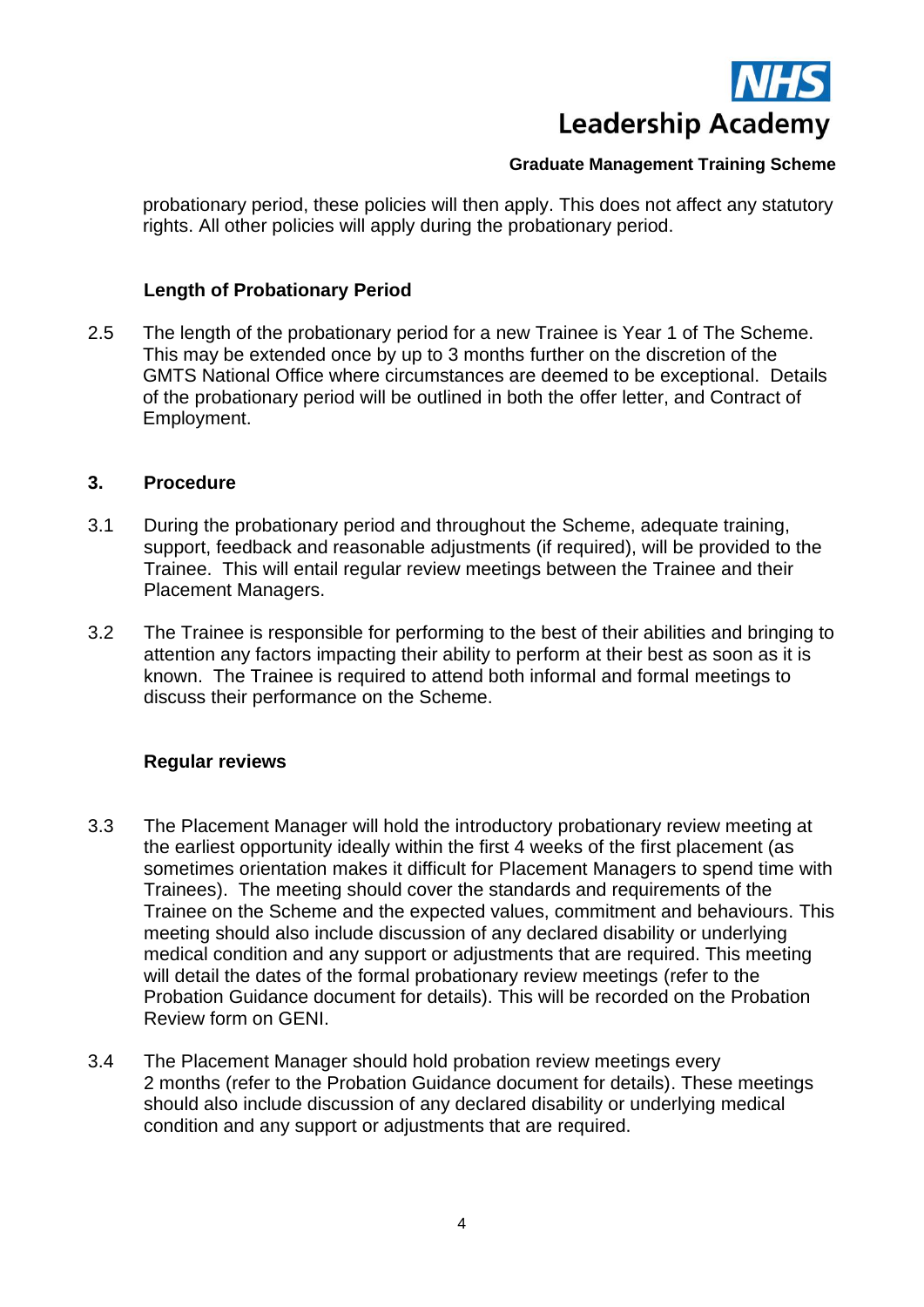

probationary period, these policies will then apply. This does not affect any statutory rights. All other policies will apply during the probationary period.

## **Length of Probationary Period**

2.5 The length of the probationary period for a new Trainee is Year 1 of The Scheme. This may be extended once by up to 3 months further on the discretion of the GMTS National Office where circumstances are deemed to be exceptional. Details of the probationary period will be outlined in both the offer letter, and Contract of Employment.

#### **3. Procedure**

- 3.1 During the probationary period and throughout the Scheme, adequate training, support, feedback and reasonable adjustments (if required), will be provided to the Trainee. This will entail regular review meetings between the Trainee and their Placement Managers.
- 3.2 The Trainee is responsible for performing to the best of their abilities and bringing to attention any factors impacting their ability to perform at their best as soon as it is known. The Trainee is required to attend both informal and formal meetings to discuss their performance on the Scheme.

# **Regular reviews**

- 3.3 The Placement Manager will hold the introductory probationary review meeting at the earliest opportunity ideally within the first 4 weeks of the first placement (as sometimes orientation makes it difficult for Placement Managers to spend time with Trainees). The meeting should cover the standards and requirements of the Trainee on the Scheme and the expected values, commitment and behaviours. This meeting should also include discussion of any declared disability or underlying medical condition and any support or adjustments that are required. This meeting will detail the dates of the formal probationary review meetings (refer to the Probation Guidance document for details). This will be recorded on the Probation Review form on GENI.
- 3.4 The Placement Manager should hold probation review meetings every 2 months (refer to the Probation Guidance document for details). These meetings should also include discussion of any declared disability or underlying medical condition and any support or adjustments that are required.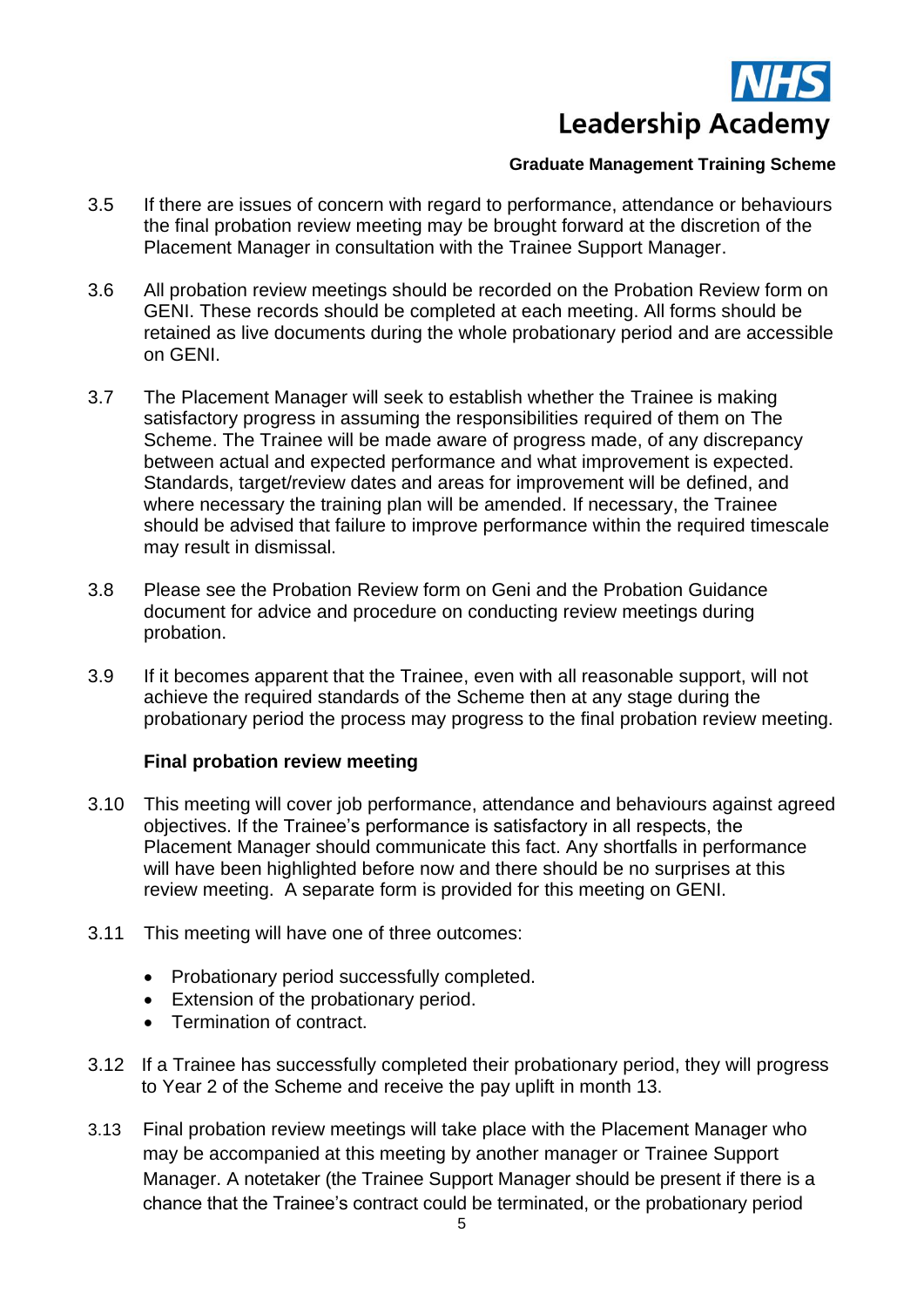

- 3.5 If there are issues of concern with regard to performance, attendance or behaviours the final probation review meeting may be brought forward at the discretion of the Placement Manager in consultation with the Trainee Support Manager.
- 3.6 All probation review meetings should be recorded on the Probation Review form on GENI. These records should be completed at each meeting. All forms should be retained as live documents during the whole probationary period and are accessible on GENI.
- 3.7 The Placement Manager will seek to establish whether the Trainee is making satisfactory progress in assuming the responsibilities required of them on The Scheme. The Trainee will be made aware of progress made, of any discrepancy between actual and expected performance and what improvement is expected. Standards, target/review dates and areas for improvement will be defined, and where necessary the training plan will be amended. If necessary, the Trainee should be advised that failure to improve performance within the required timescale may result in dismissal.
- 3.8 Please see the Probation Review form on Geni and the Probation Guidance document for advice and procedure on conducting review meetings during probation.
- 3.9 If it becomes apparent that the Trainee, even with all reasonable support, will not achieve the required standards of the Scheme then at any stage during the probationary period the process may progress to the final probation review meeting.

#### **Final probation review meeting**

- 3.10 This meeting will cover job performance, attendance and behaviours against agreed objectives. If the Trainee's performance is satisfactory in all respects, the Placement Manager should communicate this fact. Any shortfalls in performance will have been highlighted before now and there should be no surprises at this review meeting. A separate form is provided for this meeting on GENI.
- 3.11 This meeting will have one of three outcomes:
	- Probationary period successfully completed.
	- Extension of the probationary period.
	- Termination of contract.
- 3.12 If a Trainee has successfully completed their probationary period, they will progress to Year 2 of the Scheme and receive the pay uplift in month 13.
- 3.13 Final probation review meetings will take place with the Placement Manager who may be accompanied at this meeting by another manager or Trainee Support Manager. A notetaker (the Trainee Support Manager should be present if there is a chance that the Trainee's contract could be terminated, or the probationary period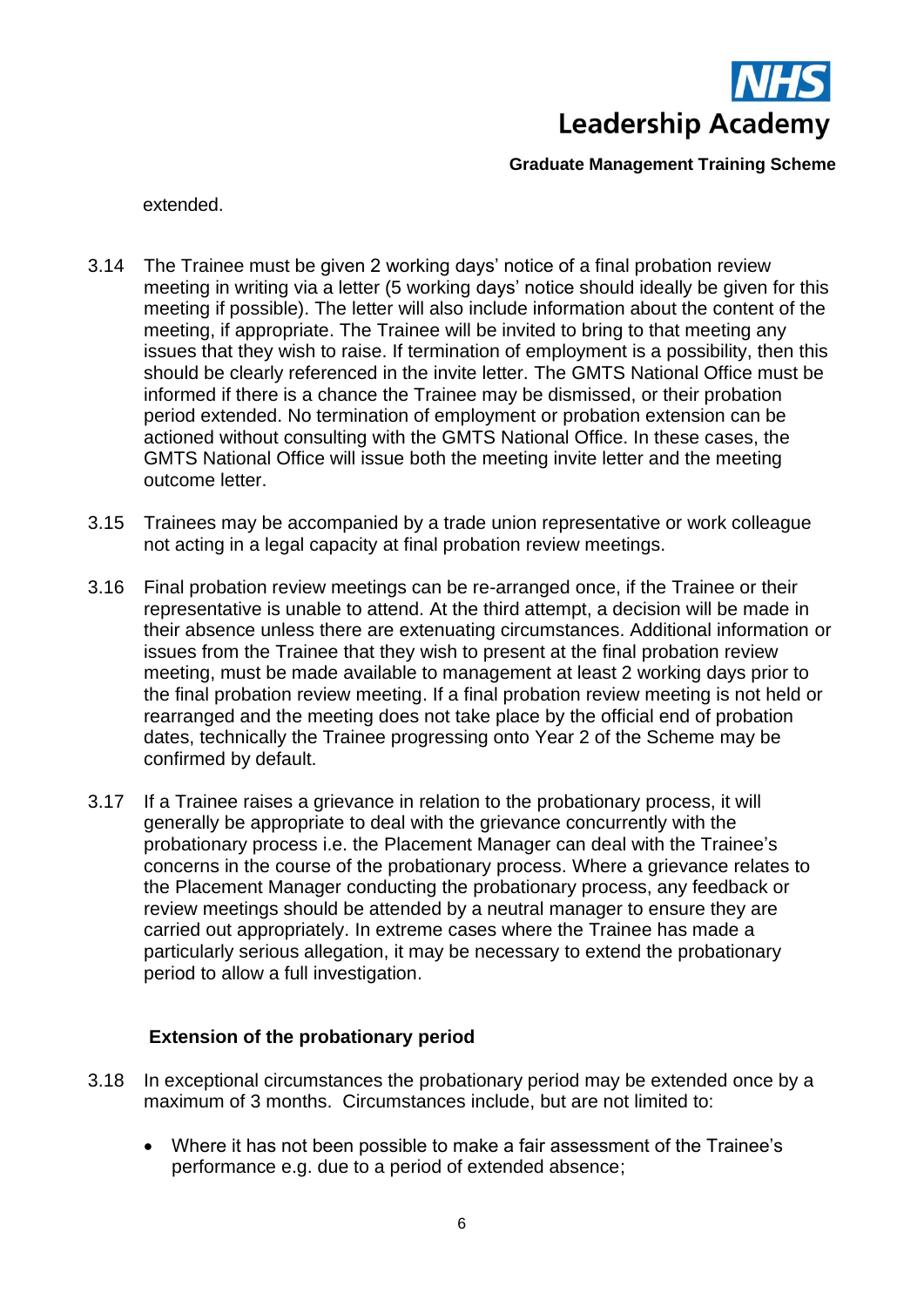

extended.

- 3.14 The Trainee must be given 2 working days' notice of a final probation review meeting in writing via a letter (5 working days' notice should ideally be given for this meeting if possible). The letter will also include information about the content of the meeting, if appropriate. The Trainee will be invited to bring to that meeting any issues that they wish to raise. If termination of employment is a possibility, then this should be clearly referenced in the invite letter. The GMTS National Office must be informed if there is a chance the Trainee may be dismissed, or their probation period extended. No termination of employment or probation extension can be actioned without consulting with the GMTS National Office. In these cases, the GMTS National Office will issue both the meeting invite letter and the meeting outcome letter.
- 3.15 Trainees may be accompanied by a trade union representative or work colleague not acting in a legal capacity at final probation review meetings.
- 3.16 Final probation review meetings can be re-arranged once, if the Trainee or their representative is unable to attend. At the third attempt, a decision will be made in their absence unless there are extenuating circumstances. Additional information or issues from the Trainee that they wish to present at the final probation review meeting, must be made available to management at least 2 working days prior to the final probation review meeting. If a final probation review meeting is not held or rearranged and the meeting does not take place by the official end of probation dates, technically the Trainee progressing onto Year 2 of the Scheme may be confirmed by default.
- 3.17 If a Trainee raises a grievance in relation to the probationary process, it will generally be appropriate to deal with the grievance concurrently with the probationary process i.e. the Placement Manager can deal with the Trainee's concerns in the course of the probationary process. Where a grievance relates to the Placement Manager conducting the probationary process, any feedback or review meetings should be attended by a neutral manager to ensure they are carried out appropriately. In extreme cases where the Trainee has made a particularly serious allegation, it may be necessary to extend the probationary period to allow a full investigation.

# **Extension of the probationary period**

- 3.18 In exceptional circumstances the probationary period may be extended once by a maximum of 3 months. Circumstances include, but are not limited to:
	- Where it has not been possible to make a fair assessment of the Trainee's performance e.g. due to a period of extended absence;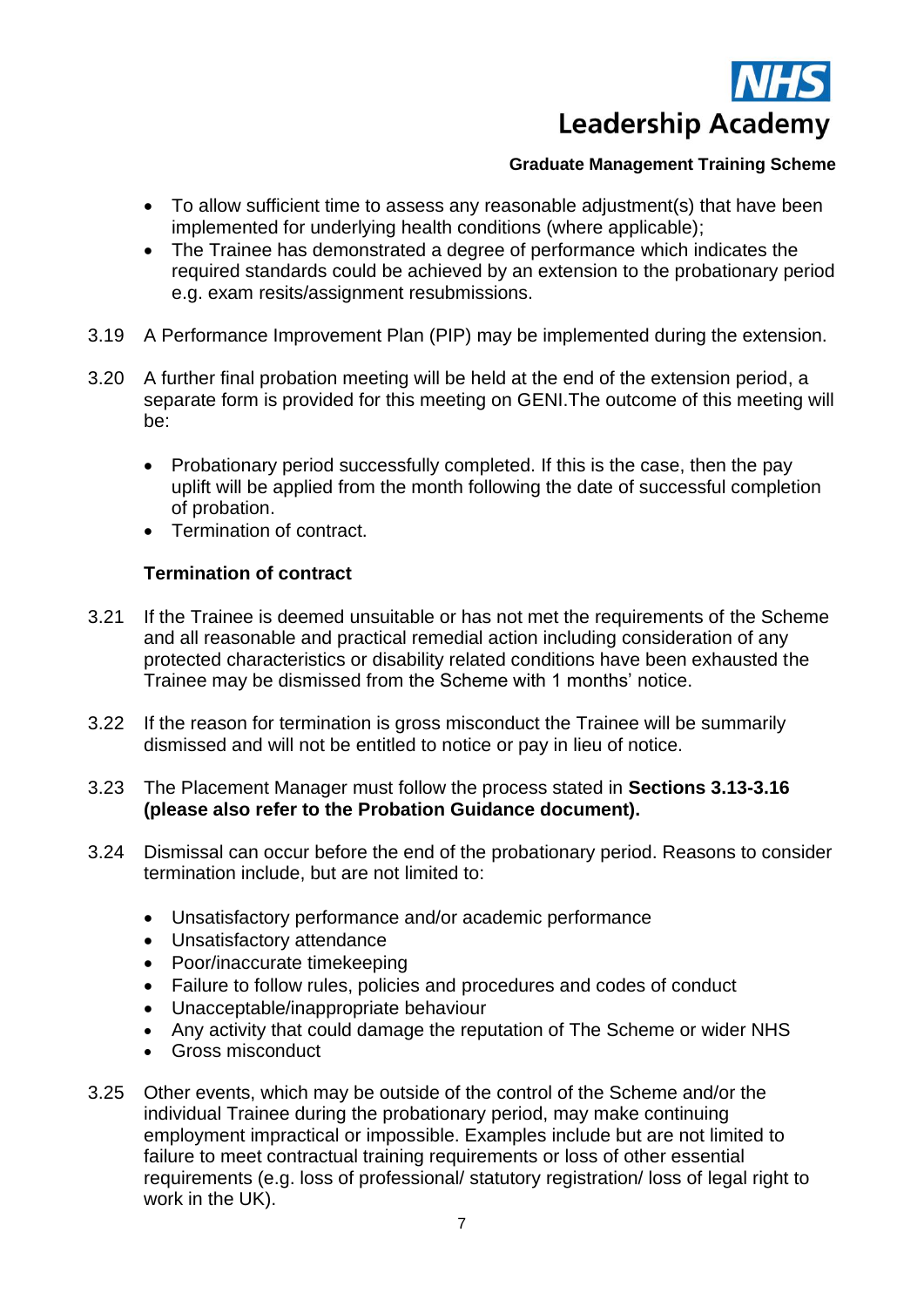

- To allow sufficient time to assess any reasonable adjustment(s) that have been implemented for underlying health conditions (where applicable);
- The Trainee has demonstrated a degree of performance which indicates the required standards could be achieved by an extension to the probationary period e.g. exam resits/assignment resubmissions.
- 3.19 A Performance Improvement Plan (PIP) may be implemented during the extension.
- 3.20 A further final probation meeting will be held at the end of the extension period, a separate form is provided for this meeting on GENI.The outcome of this meeting will be:
	- Probationary period successfully completed. If this is the case, then the pay uplift will be applied from the month following the date of successful completion of probation.
	- Termination of contract.

# **Termination of contract**

- 3.21 If the Trainee is deemed unsuitable or has not met the requirements of the Scheme and all reasonable and practical remedial action including consideration of any protected characteristics or disability related conditions have been exhausted the Trainee may be dismissed from the Scheme with 1 months' notice.
- 3.22 If the reason for termination is gross misconduct the Trainee will be summarily dismissed and will not be entitled to notice or pay in lieu of notice.
- 3.23 The Placement Manager must follow the process stated in **Sections 3.13-3.16 (please also refer to the Probation Guidance document).**
- 3.24 Dismissal can occur before the end of the probationary period. Reasons to consider termination include, but are not limited to:
	- Unsatisfactory performance and/or academic performance
	- Unsatisfactory attendance
	- Poor/inaccurate timekeeping
	- Failure to follow rules, policies and procedures and codes of conduct
	- Unacceptable/inappropriate behaviour
	- Any activity that could damage the reputation of The Scheme or wider NHS
	- Gross misconduct
- 3.25 Other events, which may be outside of the control of the Scheme and/or the individual Trainee during the probationary period, may make continuing employment impractical or impossible. Examples include but are not limited to failure to meet contractual training requirements or loss of other essential requirements (e.g. loss of professional/ statutory registration/ loss of legal right to work in the UK).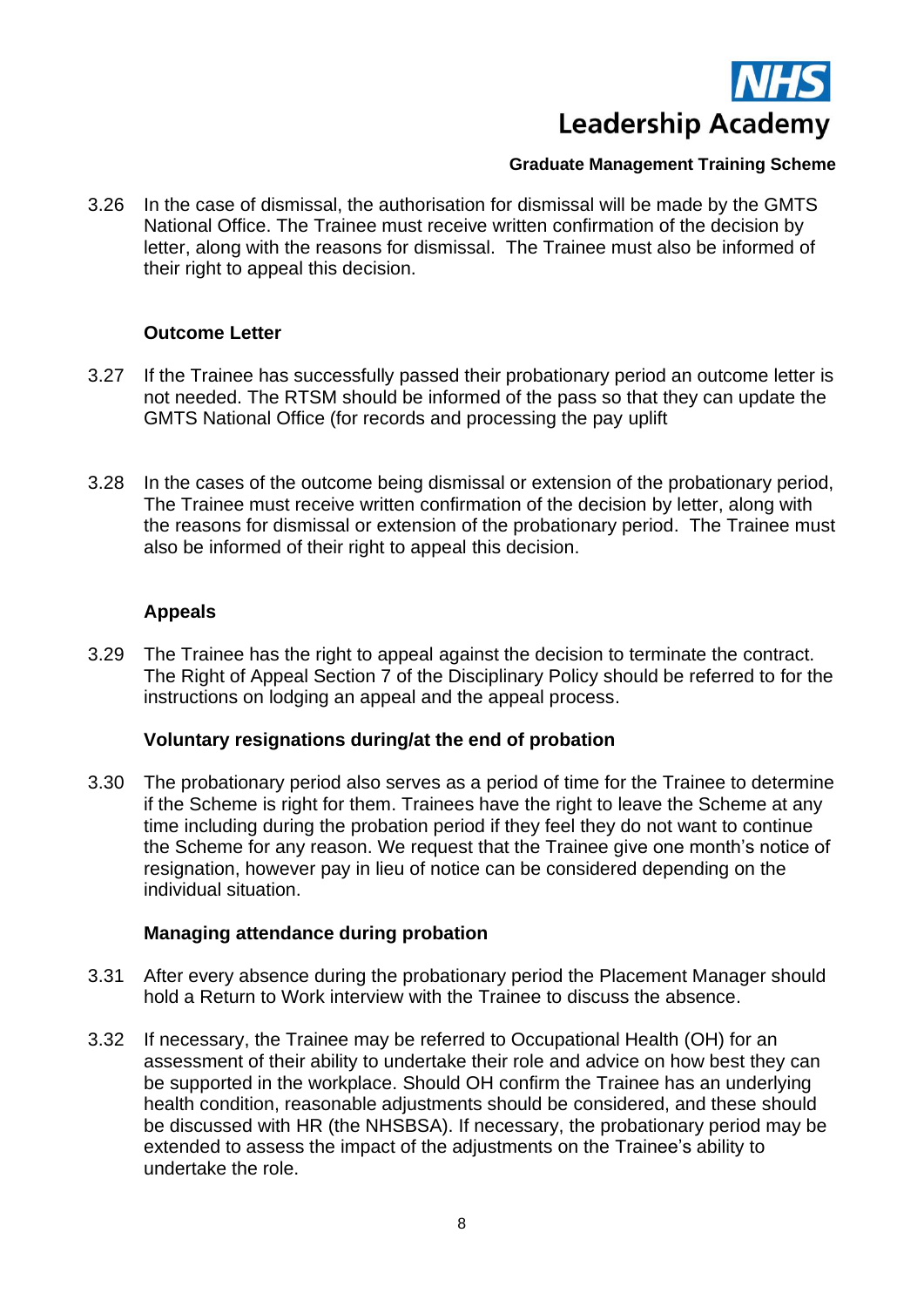

3.26 In the case of dismissal, the authorisation for dismissal will be made by the GMTS National Office. The Trainee must receive written confirmation of the decision by letter, along with the reasons for dismissal. The Trainee must also be informed of their right to appeal this decision.

#### **Outcome Letter**

- 3.27 If the Trainee has successfully passed their probationary period an outcome letter is not needed. The RTSM should be informed of the pass so that they can update the GMTS National Office (for records and processing the pay uplift
- 3.28 In the cases of the outcome being dismissal or extension of the probationary period, The Trainee must receive written confirmation of the decision by letter, along with the reasons for dismissal or extension of the probationary period. The Trainee must also be informed of their right to appeal this decision.

# **Appeals**

3.29 The Trainee has the right to appeal against the decision to terminate the contract. The Right of Appeal Section 7 of the Disciplinary Policy should be referred to for the instructions on lodging an appeal and the appeal process.

#### **Voluntary resignations during/at the end of probation**

3.30 The probationary period also serves as a period of time for the Trainee to determine if the Scheme is right for them. Trainees have the right to leave the Scheme at any time including during the probation period if they feel they do not want to continue the Scheme for any reason. We request that the Trainee give one month's notice of resignation, however pay in lieu of notice can be considered depending on the individual situation.

# **Managing attendance during probation**

- 3.31 After every absence during the probationary period the Placement Manager should hold a Return to Work interview with the Trainee to discuss the absence.
- 3.32 If necessary, the Trainee may be referred to Occupational Health (OH) for an assessment of their ability to undertake their role and advice on how best they can be supported in the workplace. Should OH confirm the Trainee has an underlying health condition, reasonable adjustments should be considered, and these should be discussed with HR (the NHSBSA). If necessary, the probationary period may be extended to assess the impact of the adjustments on the Trainee's ability to undertake the role.